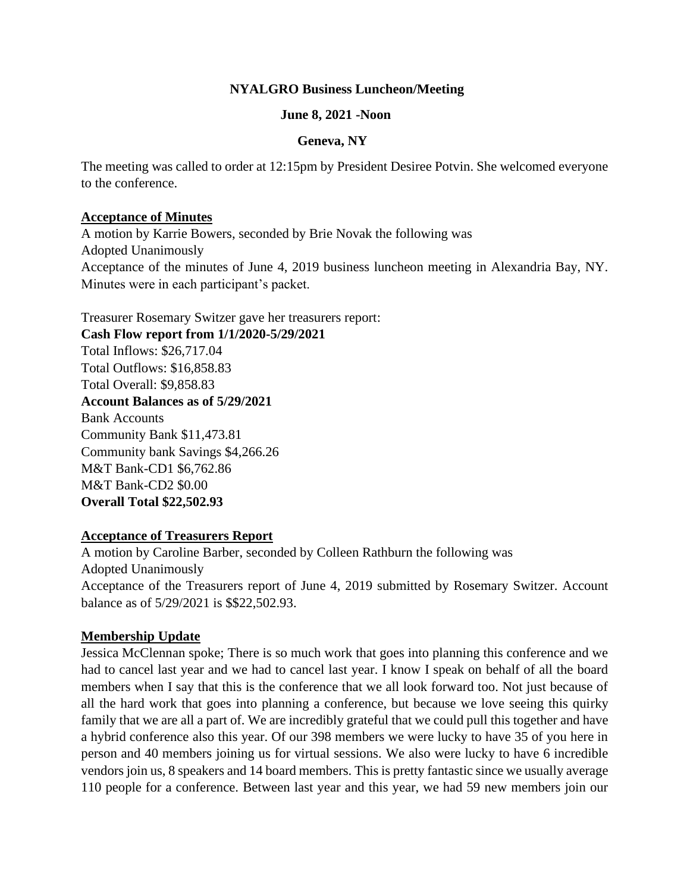## **NYALGRO Business Luncheon/Meeting**

### **June 8, 2021 -Noon**

#### **Geneva, NY**

The meeting was called to order at 12:15pm by President Desiree Potvin. She welcomed everyone to the conference.

#### **Acceptance of Minutes**

A motion by Karrie Bowers, seconded by Brie Novak the following was Adopted Unanimously Acceptance of the minutes of June 4, 2019 business luncheon meeting in Alexandria Bay, NY. Minutes were in each participant's packet.

Treasurer Rosemary Switzer gave her treasurers report:

**Cash Flow report from 1/1/2020-5/29/2021**  Total Inflows: \$26,717.04 Total Outflows: \$16,858.83 Total Overall: \$9,858.83 **Account Balances as of 5/29/2021** Bank Accounts Community Bank \$11,473.81 Community bank Savings \$4,266.26 M&T Bank-CD1 \$6,762.86 M&T Bank-CD2 \$0.00 **Overall Total \$22,502.93**

### **Acceptance of Treasurers Report**

A motion by Caroline Barber, seconded by Colleen Rathburn the following was Adopted Unanimously Acceptance of the Treasurers report of June 4, 2019 submitted by Rosemary Switzer. Account balance as of 5/29/2021 is \$\$22,502.93.

# **Membership Update**

Jessica McClennan spoke; There is so much work that goes into planning this conference and we had to cancel last year and we had to cancel last year. I know I speak on behalf of all the board members when I say that this is the conference that we all look forward too. Not just because of all the hard work that goes into planning a conference, but because we love seeing this quirky family that we are all a part of. We are incredibly grateful that we could pull this together and have a hybrid conference also this year. Of our 398 members we were lucky to have 35 of you here in person and 40 members joining us for virtual sessions. We also were lucky to have 6 incredible vendors join us, 8 speakers and 14 board members. This is pretty fantastic since we usually average 110 people for a conference. Between last year and this year, we had 59 new members join our